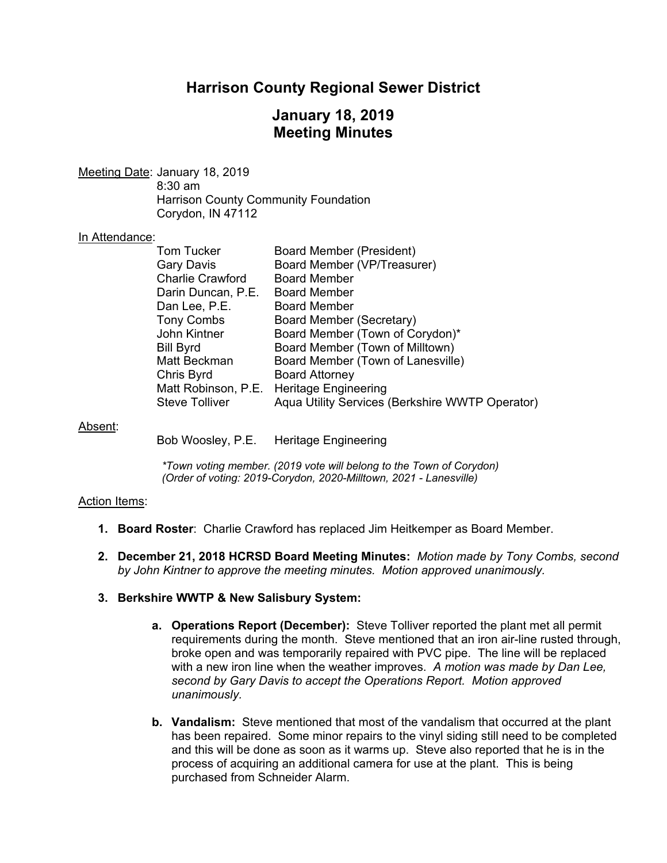# **Harrison County Regional Sewer District**

# **January 18, 2019 Meeting Minutes**

Meeting Date: January 18, 2019 8:30 am Harrison County Community Foundation Corydon, IN 47112

#### In Attendance:

| Tom Tucker              | Board Member (President)                        |
|-------------------------|-------------------------------------------------|
| Gary Davis              | Board Member (VP/Treasurer)                     |
| <b>Charlie Crawford</b> | <b>Board Member</b>                             |
| Darin Duncan, P.E.      | <b>Board Member</b>                             |
| Dan Lee, P.E.           | <b>Board Member</b>                             |
| <b>Tony Combs</b>       | Board Member (Secretary)                        |
| John Kintner            | Board Member (Town of Corydon)*                 |
| Bill Byrd               | Board Member (Town of Milltown)                 |
| Matt Beckman            | Board Member (Town of Lanesville)               |
| Chris Byrd              | <b>Board Attorney</b>                           |
| Matt Robinson, P.E.     | <b>Heritage Engineering</b>                     |
| Steve Tolliver          | Aqua Utility Services (Berkshire WWTP Operator) |

#### Absent:

Bob Woosley, P.E. Heritage Engineering

*\*Town voting member. (2019 vote will belong to the Town of Corydon) (Order of voting: 2019-Corydon, 2020-Milltown, 2021 - Lanesville)* 

#### Action Items:

- **1. Board Roster**: Charlie Crawford has replaced Jim Heitkemper as Board Member.
- **2. December 21, 2018 HCRSD Board Meeting Minutes:** *Motion made by Tony Combs, second by John Kintner to approve the meeting minutes. Motion approved unanimously.*

#### **3. Berkshire WWTP & New Salisbury System:**

- **a. Operations Report (December):** Steve Tolliver reported the plant met all permit requirements during the month. Steve mentioned that an iron air-line rusted through, broke open and was temporarily repaired with PVC pipe. The line will be replaced with a new iron line when the weather improves. *A motion was made by Dan Lee, second by Gary Davis to accept the Operations Report. Motion approved unanimously.*
- **b. Vandalism:** Steve mentioned that most of the vandalism that occurred at the plant has been repaired. Some minor repairs to the vinyl siding still need to be completed and this will be done as soon as it warms up. Steve also reported that he is in the process of acquiring an additional camera for use at the plant. This is being purchased from Schneider Alarm.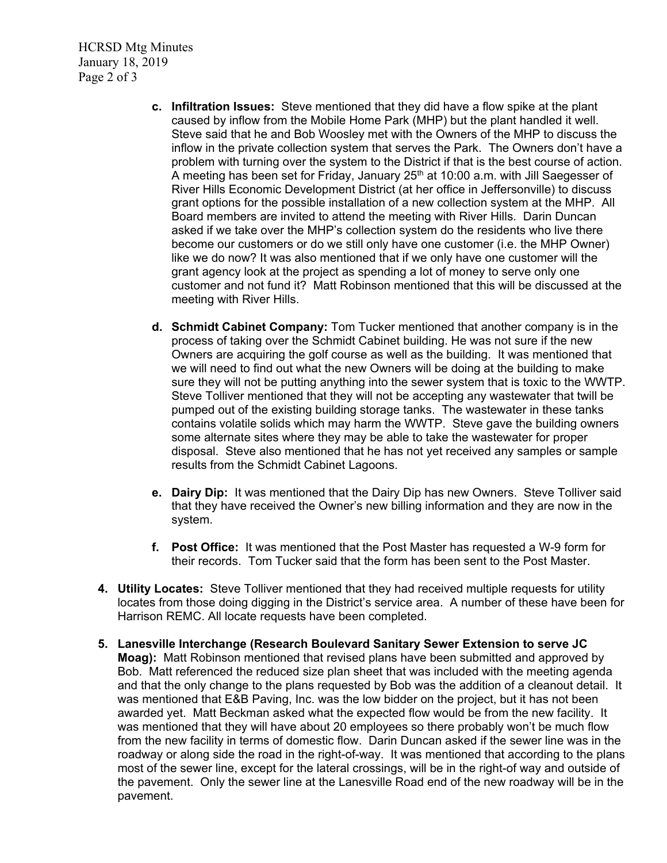HCRSD Mtg Minutes January 18, 2019 Page 2 of 3

- **c. Infiltration Issues:** Steve mentioned that they did have a flow spike at the plant caused by inflow from the Mobile Home Park (MHP) but the plant handled it well. Steve said that he and Bob Woosley met with the Owners of the MHP to discuss the inflow in the private collection system that serves the Park. The Owners don't have a problem with turning over the system to the District if that is the best course of action. A meeting has been set for Friday, January  $25<sup>th</sup>$  at 10:00 a.m. with Jill Saegesser of River Hills Economic Development District (at her office in Jeffersonville) to discuss grant options for the possible installation of a new collection system at the MHP. All Board members are invited to attend the meeting with River Hills. Darin Duncan asked if we take over the MHP's collection system do the residents who live there become our customers or do we still only have one customer (i.e. the MHP Owner) like we do now? It was also mentioned that if we only have one customer will the grant agency look at the project as spending a lot of money to serve only one customer and not fund it? Matt Robinson mentioned that this will be discussed at the meeting with River Hills.
- **d. Schmidt Cabinet Company:** Tom Tucker mentioned that another company is in the process of taking over the Schmidt Cabinet building. He was not sure if the new Owners are acquiring the golf course as well as the building. It was mentioned that we will need to find out what the new Owners will be doing at the building to make sure they will not be putting anything into the sewer system that is toxic to the WWTP. Steve Tolliver mentioned that they will not be accepting any wastewater that twill be pumped out of the existing building storage tanks. The wastewater in these tanks contains volatile solids which may harm the WWTP. Steve gave the building owners some alternate sites where they may be able to take the wastewater for proper disposal. Steve also mentioned that he has not yet received any samples or sample results from the Schmidt Cabinet Lagoons.
- **e. Dairy Dip:** It was mentioned that the Dairy Dip has new Owners. Steve Tolliver said that they have received the Owner's new billing information and they are now in the system.
- **f. Post Office:** It was mentioned that the Post Master has requested a W-9 form for their records. Tom Tucker said that the form has been sent to the Post Master.
- **4. Utility Locates:** Steve Tolliver mentioned that they had received multiple requests for utility locates from those doing digging in the District's service area. A number of these have been for Harrison REMC. All locate requests have been completed.
- **5. Lanesville Interchange (Research Boulevard Sanitary Sewer Extension to serve JC Moag):** Matt Robinson mentioned that revised plans have been submitted and approved by Bob. Matt referenced the reduced size plan sheet that was included with the meeting agenda and that the only change to the plans requested by Bob was the addition of a cleanout detail. It was mentioned that E&B Paving, Inc. was the low bidder on the project, but it has not been awarded yet. Matt Beckman asked what the expected flow would be from the new facility. It was mentioned that they will have about 20 employees so there probably won't be much flow from the new facility in terms of domestic flow. Darin Duncan asked if the sewer line was in the roadway or along side the road in the right-of-way. It was mentioned that according to the plans most of the sewer line, except for the lateral crossings, will be in the right-of way and outside of the pavement. Only the sewer line at the Lanesville Road end of the new roadway will be in the pavement.